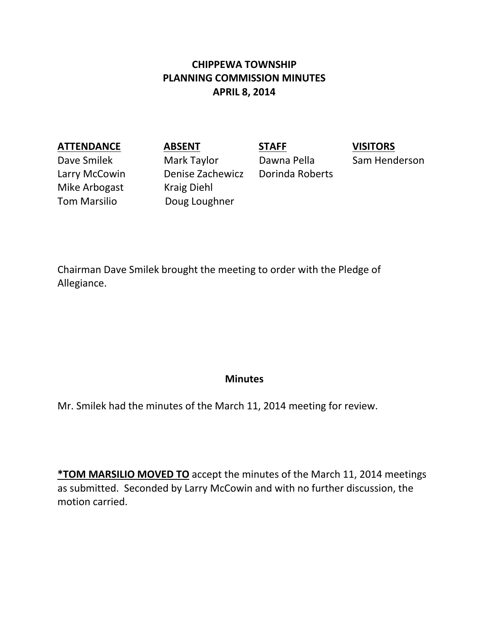# **CHIPPEWA TOWNSHIP PLANNING COMMISSION MINUTES APRIL 8, 2014**

### **ATTENDANCE ABSENT STAFF VISITORS**

Mike Arbogast Kraig Diehl

Dave Smilek Mark Taylor Dawna Pella Sam Henderson Larry McCowin Denise Zachewicz Dorinda Roberts Tom Marsilio **Doug Loughner** 

Chairman Dave Smilek brought the meeting to order with the Pledge of Allegiance.

### **Minutes**

Mr. Smilek had the minutes of the March 11, 2014 meeting for review.

**\*TOM MARSILIO MOVED TO** accept the minutes of the March 11, 2014 meetings as submitted. Seconded by Larry McCowin and with no further discussion, the motion carried.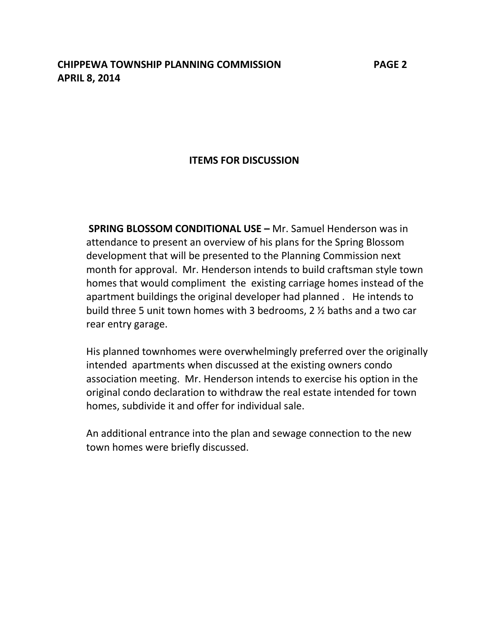## **ITEMS FOR DISCUSSION**

**SPRING BLOSSOM CONDITIONAL USE –** Mr. Samuel Henderson was in attendance to present an overview of his plans for the Spring Blossom development that will be presented to the Planning Commission next month for approval. Mr. Henderson intends to build craftsman style town homes that would compliment the existing carriage homes instead of the apartment buildings the original developer had planned . He intends to build three 5 unit town homes with 3 bedrooms, 2 ½ baths and a two car rear entry garage.

His planned townhomes were overwhelmingly preferred over the originally intended apartments when discussed at the existing owners condo association meeting. Mr. Henderson intends to exercise his option in the original condo declaration to withdraw the real estate intended for town homes, subdivide it and offer for individual sale.

An additional entrance into the plan and sewage connection to the new town homes were briefly discussed.